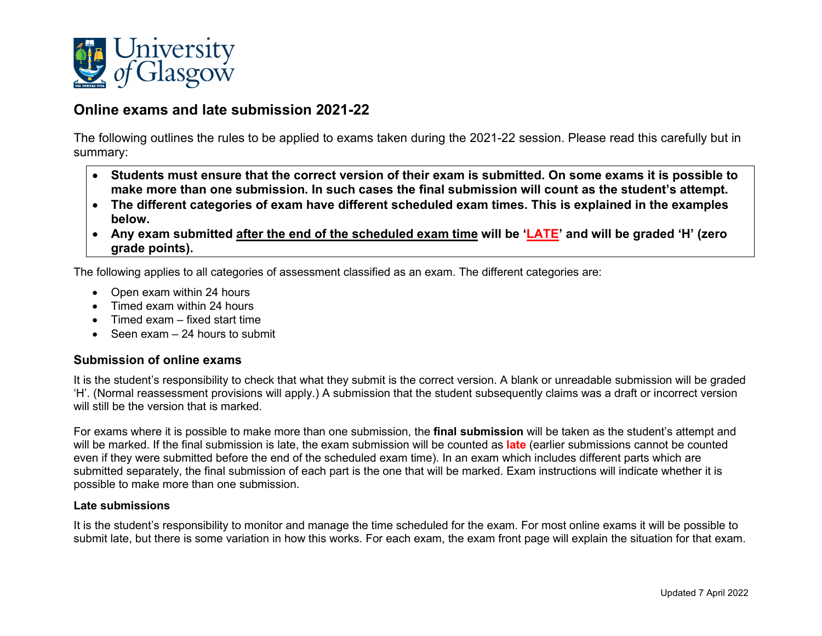

# **Online exams and late submission 2021-22**

The following outlines the rules to be applied to exams taken during the 2021-22 session. Please read this carefully but in summary:

- **Students must ensure that the correct version of their exam is submitted. On some exams it is possible to make more than one submission. In such cases the final submission will count as the student's attempt.**
- **The different categories of exam have different scheduled exam times. This is explained in the examples below.**
- **Any exam submitted after the end of the scheduled exam time will be 'LATE' and will be graded 'H' (zero grade points).**

The following applies to all categories of assessment classified as an exam. The different categories are:

- Open exam within 24 hours
- Timed exam within 24 hours
- Timed exam fixed start time
- Seen exam 24 hours to submit

#### **Submission of online exams**

It is the student's responsibility to check that what they submit is the correct version. A blank or unreadable submission will be graded 'H'. (Normal reassessment provisions will apply.) A submission that the student subsequently claims was a draft or incorrect version will still be the version that is marked.

For exams where it is possible to make more than one submission, the **final submission** will be taken as the student's attempt and will be marked. If the final submission is late, the exam submission will be counted as **late** (earlier submissions cannot be counted even if they were submitted before the end of the scheduled exam time). In an exam which includes different parts which are submitted separately, the final submission of each part is the one that will be marked. Exam instructions will indicate whether it is possible to make more than one submission.

#### **Late submissions**

It is the student's responsibility to monitor and manage the time scheduled for the exam. For most online exams it will be possible to submit late, but there is some variation in how this works. For each exam, the exam front page will explain the situation for that exam.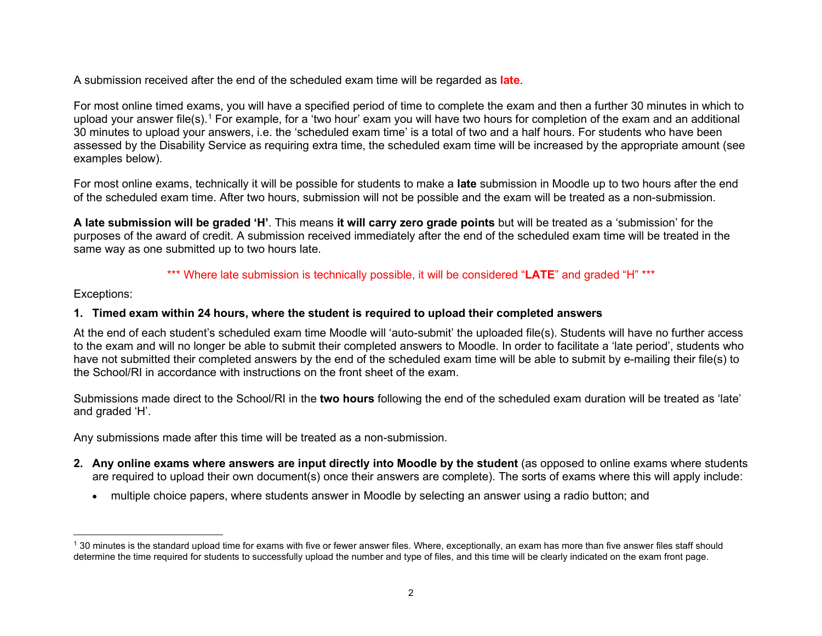<span id="page-1-0"></span>A submission received after the end of the scheduled exam time will be regarded as **late**.

For most online timed exams, you will have a specified period of time to complete the exam and then a further 30 minutes in which to upload your answer file(s).<sup>[1](#page-1-0)</sup> For example, for a 'two hour' exam you will have two hours for completion of the exam and an additional 30 minutes to upload your answers, i.e. the 'scheduled exam time' is a total of two and a half hours. For students who have been assessed by the Disability Service as requiring extra time, the scheduled exam time will be increased by the appropriate amount (see examples below).

For most online exams, technically it will be possible for students to make a **late** submission in Moodle up to two hours after the end of the scheduled exam time. After two hours, submission will not be possible and the exam will be treated as a non-submission.

**A late submission will be graded 'H'**. This means **it will carry zero grade points** but will be treated as a 'submission' for the purposes of the award of credit. A submission received immediately after the end of the scheduled exam time will be treated in the same way as one submitted up to two hours late.

# \*\*\* Where late submission is technically possible, it will be considered "LATE" and graded "H" \*\*\*

Exceptions:

# **1. Timed exam within 24 hours, where the student is required to upload their completed answers**

At the end of each student's scheduled exam time Moodle will 'auto-submit' the uploaded file(s). Students will have no further access to the exam and will no longer be able to submit their completed answers to Moodle. In order to facilitate a 'late period', students who have not submitted their completed answers by the end of the scheduled exam time will be able to submit by e-mailing their file(s) to the School/RI in accordance with instructions on the front sheet of the exam.

Submissions made direct to the School/RI in the **two hours** following the end of the scheduled exam duration will be treated as 'late' and graded 'H'.

Any submissions made after this time will be treated as a non-submission.

- **2. Any online exams where answers are input directly into Moodle by the student** (as opposed to online exams where students are required to upload their own document(s) once their answers are complete). The sorts of exams where this will apply include:
	- multiple choice papers, where students answer in Moodle by selecting an answer using a radio button; and

 $1$  30 minutes is the standard upload time for exams with five or fewer answer files. Where, exceptionally, an exam has more than five answer files staff should determine the time required for students to successfully upload the number and type of files, and this time will be clearly indicated on the exam front page.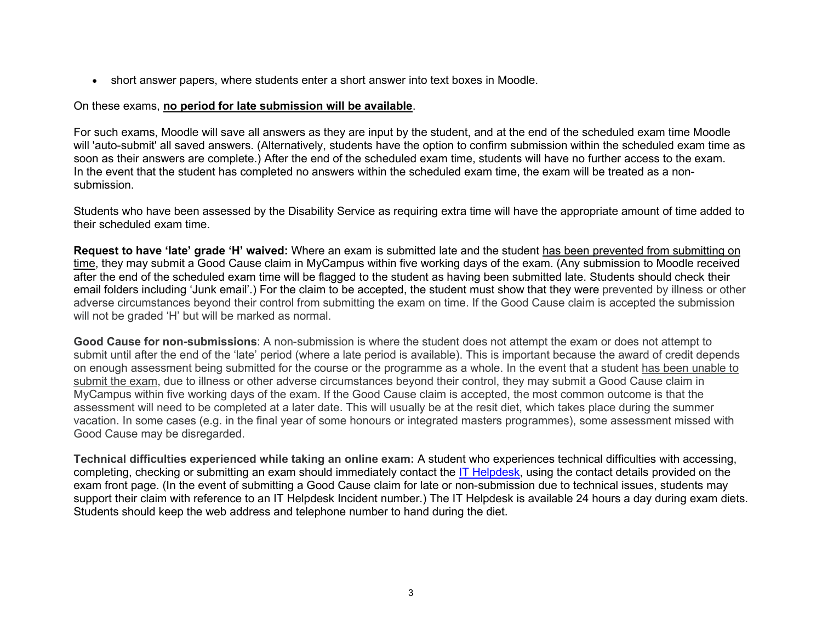• short answer papers, where students enter a short answer into text boxes in Moodle.

#### On these exams, **no period for late submission will be available**.

For such exams, Moodle will save all answers as they are input by the student, and at the end of the scheduled exam time Moodle will 'auto-submit' all saved answers. (Alternatively, students have the option to confirm submission within the scheduled exam time as soon as their answers are complete.) After the end of the scheduled exam time, students will have no further access to the exam. In the event that the student has completed no answers within the scheduled exam time, the exam will be treated as a nonsubmission.

Students who have been assessed by the Disability Service as requiring extra time will have the appropriate amount of time added to their scheduled exam time.

**Request to have 'late' grade 'H' waived:** Where an exam is submitted late and the student has been prevented from submitting on time, they may submit a Good Cause claim in MyCampus within five working days of the exam. (Any submission to Moodle received after the end of the scheduled exam time will be flagged to the student as having been submitted late. Students should check their email folders including 'Junk email'.) For the claim to be accepted, the student must show that they were prevented by illness or other adverse circumstances beyond their control from submitting the exam on time. If the Good Cause claim is accepted the submission will not be graded 'H' but will be marked as normal.

**Good Cause for non-submissions**: A non-submission is where the student does not attempt the exam or does not attempt to submit until after the end of the 'late' period (where a late period is available). This is important because the award of credit depends on enough assessment being submitted for the course or the programme as a whole. In the event that a student has been unable to submit the exam, due to illness or other adverse circumstances beyond their control, they may submit a Good Cause claim in MyCampus within five working days of the exam. If the Good Cause claim is accepted, the most common outcome is that the assessment will need to be completed at a later date. This will usually be at the resit diet, which takes place during the summer vacation. In some cases (e.g. in the final year of some honours or integrated masters programmes), some assessment missed with Good Cause may be disregarded.

**Technical difficulties experienced while taking an online exam:** A student who experiences technical difficulties with accessing, completing, checking or submitting an exam should immediately contact the [IT Helpdesk,](https://www.gla.ac.uk/myglasgow/it/helpdesk/) using the contact details provided on the exam front page. (In the event of submitting a Good Cause claim for late or non-submission due to technical issues, students may support their claim with reference to an IT Helpdesk Incident number.) The IT Helpdesk is available 24 hours a day during exam diets. Students should keep the web address and telephone number to hand during the diet.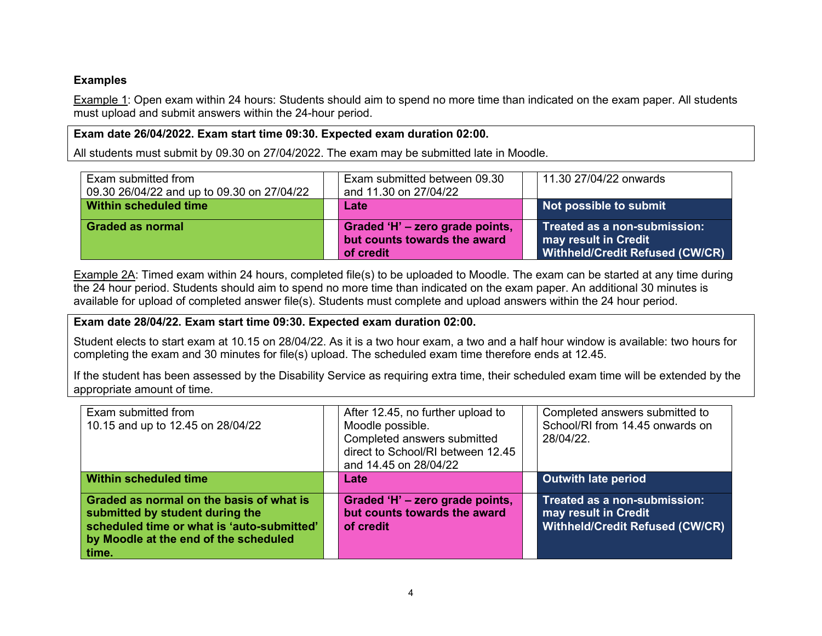# **Examples**

Example 1: Open exam within 24 hours: Students should aim to spend no more time than indicated on the exam paper. All students must upload and submit answers within the 24-hour period.

# **Exam date 26/04/2022. Exam start time 09:30. Expected exam duration 02:00.**

All students must submit by 09.30 on 27/04/2022. The exam may be submitted late in Moodle.

| Exam submitted from<br>09.30 26/04/22 and up to 09.30 on 27/04/22 | Exam submitted between 09.30<br>and 11.30 on 27/04/22                        | 11.30 27/04/22 onwards                                                                  |
|-------------------------------------------------------------------|------------------------------------------------------------------------------|-----------------------------------------------------------------------------------------|
| Within scheduled time                                             | Late                                                                         | Not possible to submit                                                                  |
| <b>Graded as normal</b>                                           | Graded 'H' - zero grade points,<br>but counts towards the award<br>of credit | Treated as a non-submission:<br>may result in Credit<br>Withheld/Credit Refused (CW/CR) |

Example 2A: Timed exam within 24 hours, completed file(s) to be uploaded to Moodle. The exam can be started at any time during the 24 hour period. Students should aim to spend no more time than indicated on the exam paper. An additional 30 minutes is available for upload of completed answer file(s). Students must complete and upload answers within the 24 hour period.

### **Exam date 28/04/22. Exam start time 09:30. Expected exam duration 02:00.**

Student elects to start exam at 10.15 on 28/04/22. As it is a two hour exam, a two and a half hour window is available: two hours for completing the exam and 30 minutes for file(s) upload. The scheduled exam time therefore ends at 12.45.

If the student has been assessed by the Disability Service as requiring extra time, their scheduled exam time will be extended by the appropriate amount of time.

| Exam submitted from<br>10.15 and up to 12.45 on 28/04/22                                                                                                                    | After 12.45, no further upload to<br>Moodle possible.<br>Completed answers submitted<br>direct to School/RI between 12.45<br>and 14.45 on 28/04/22 | Completed answers submitted to<br>School/RI from 14.45 onwards on<br>28/04/22.                 |
|-----------------------------------------------------------------------------------------------------------------------------------------------------------------------------|----------------------------------------------------------------------------------------------------------------------------------------------------|------------------------------------------------------------------------------------------------|
| Within scheduled time                                                                                                                                                       | Late                                                                                                                                               | <b>Outwith late period</b>                                                                     |
| Graded as normal on the basis of what is<br>submitted by student during the<br>scheduled time or what is 'auto-submitted'<br>by Moodle at the end of the scheduled<br>time. | Graded 'H' - zero grade points,<br>but counts towards the award<br>of credit                                                                       | Treated as a non-submission:<br>may result in Credit<br><b>Withheld/Credit Refused (CW/CR)</b> |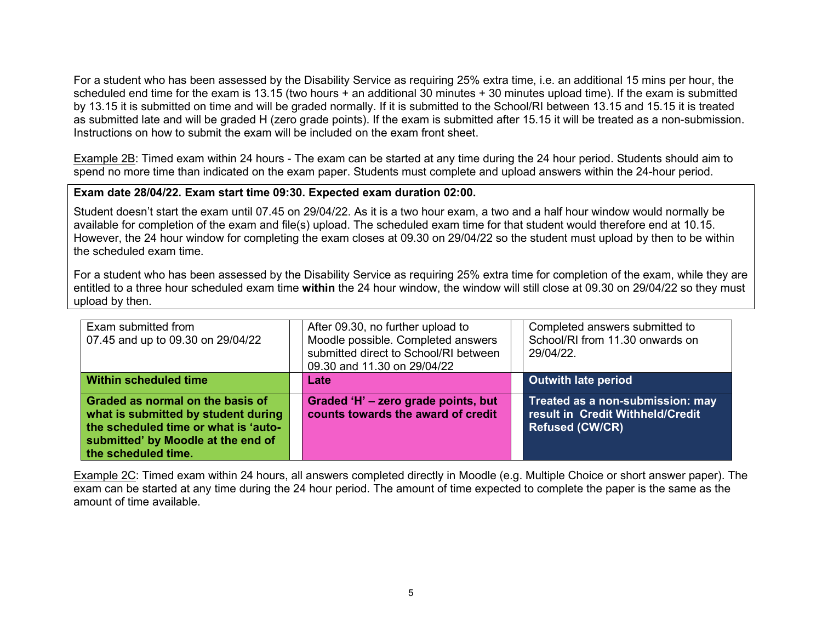For a student who has been assessed by the Disability Service as requiring 25% extra time, i.e. an additional 15 mins per hour, the scheduled end time for the exam is 13.15 (two hours  $+$  an additional 30 minutes  $+$  30 minutes upload time). If the exam is submitted by 13.15 it is submitted on time and will be graded normally. If it is submitted to the School/RI between 13.15 and 15.15 it is treated as submitted late and will be graded H (zero grade points). If the exam is submitted after 15.15 it will be treated as a non-submission. Instructions on how to submit the exam will be included on the exam front sheet.

Example 2B: Timed exam within 24 hours - The exam can be started at any time during the 24 hour period. Students should aim to spend no more time than indicated on the exam paper. Students must complete and upload answers within the 24-hour period.

#### **Exam date 28/04/22. Exam start time 09:30. Expected exam duration 02:00.**

Student doesn't start the exam until 07.45 on 29/04/22. As it is a two hour exam, a two and a half hour window would normally be available for completion of the exam and file(s) upload. The scheduled exam time for that student would therefore end at 10.15. However, the 24 hour window for completing the exam closes at 09.30 on 29/04/22 so the student must upload by then to be within the scheduled exam time.

For a student who has been assessed by the Disability Service as requiring 25% extra time for completion of the exam, while they are entitled to a three hour scheduled exam time **within** the 24 hour window, the window will still close at 09.30 on 29/04/22 so they must upload by then.

| Exam submitted from<br>07.45 and up to 09.30 on 29/04/22                                                                                                                     | After 09.30, no further upload to<br>Moodle possible. Completed answers<br>submitted direct to School/RI between<br>09.30 and 11.30 on 29/04/22 | Completed answers submitted to<br>School/RI from 11.30 onwards on<br>29/04/22.                 |
|------------------------------------------------------------------------------------------------------------------------------------------------------------------------------|-------------------------------------------------------------------------------------------------------------------------------------------------|------------------------------------------------------------------------------------------------|
| <b>Within scheduled time</b>                                                                                                                                                 | Late                                                                                                                                            | <b>Outwith late period</b>                                                                     |
| Graded as normal on the basis of<br>what is submitted by student during<br>the scheduled time or what is 'auto-<br>submitted' by Moodle at the end of<br>the scheduled time. | Graded 'H' - zero grade points, but<br>counts towards the award of credit                                                                       | Treated as a non-submission: may<br>result in Credit Withheld/Credit<br><b>Refused (CW/CR)</b> |

Example 2C: Timed exam within 24 hours, all answers completed directly in Moodle (e.g. Multiple Choice or short answer paper). The exam can be started at any time during the 24 hour period. The amount of time expected to complete the paper is the same as the amount of time available.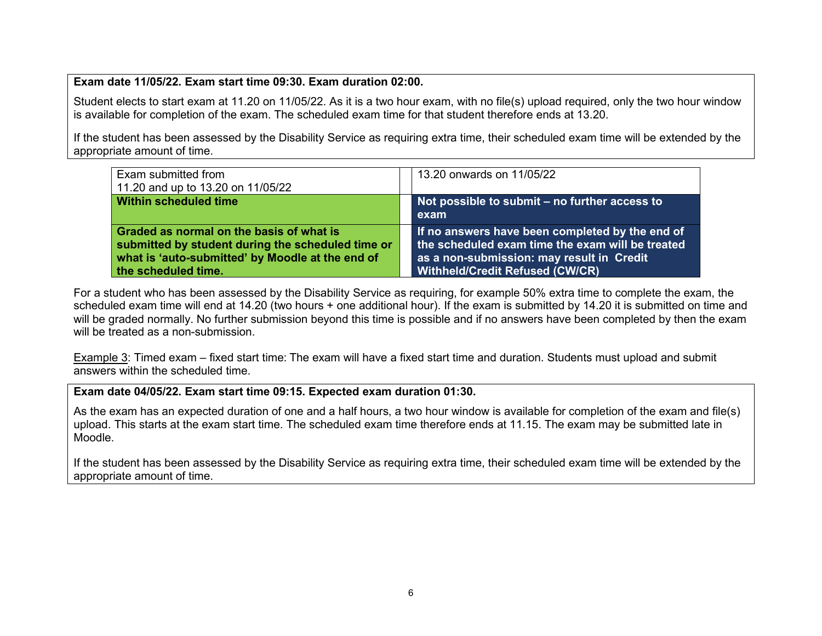### **Exam date 11/05/22. Exam start time 09:30. Exam duration 02:00.**

Student elects to start exam at 11.20 on 11/05/22. As it is a two hour exam, with no file(s) upload required, only the two hour window is available for completion of the exam. The scheduled exam time for that student therefore ends at 13.20.

If the student has been assessed by the Disability Service as requiring extra time, their scheduled exam time will be extended by the appropriate amount of time.

| Exam submitted from<br>11.20 and up to 13.20 on 11/05/22                                                                                                                 | 13.20 onwards on 11/05/22                                                                                                                                                                  |
|--------------------------------------------------------------------------------------------------------------------------------------------------------------------------|--------------------------------------------------------------------------------------------------------------------------------------------------------------------------------------------|
| <b>Within scheduled time</b>                                                                                                                                             | Not possible to submit – no further access to<br>exam                                                                                                                                      |
| Graded as normal on the basis of what is<br>submitted by student during the scheduled time or<br>what is 'auto-submitted' by Moodle at the end of<br>the scheduled time. | If no answers have been completed by the end of<br>the scheduled exam time the exam will be treated<br>as a non-submission: may result in Credit<br><b>Withheld/Credit Refused (CW/CR)</b> |

For a student who has been assessed by the Disability Service as requiring, for example 50% extra time to complete the exam, the scheduled exam time will end at 14.20 (two hours + one additional hour). If the exam is submitted by 14.20 it is submitted on time and will be graded normally. No further submission beyond this time is possible and if no answers have been completed by then the exam will be treated as a non-submission.

Example 3: Timed exam – fixed start time: The exam will have a fixed start time and duration. Students must upload and submit answers within the scheduled time.

#### **Exam date 04/05/22. Exam start time 09:15. Expected exam duration 01:30.**

As the exam has an expected duration of one and a half hours, a two hour window is available for completion of the exam and file(s) upload. This starts at the exam start time. The scheduled exam time therefore ends at 11.15. The exam may be submitted late in Moodle.

If the student has been assessed by the Disability Service as requiring extra time, their scheduled exam time will be extended by the appropriate amount of time.